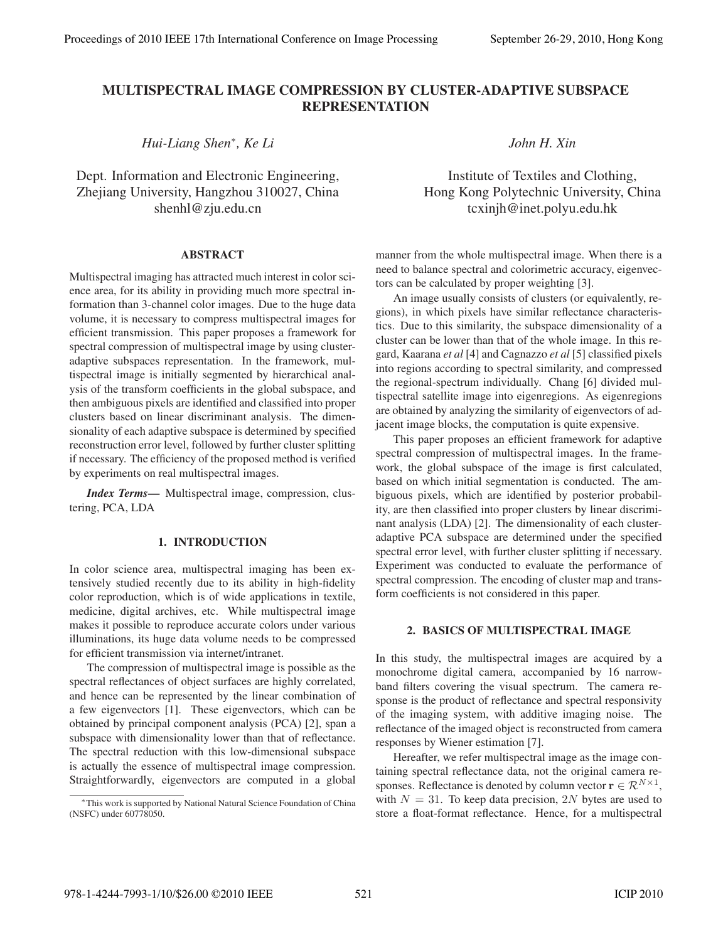# MULTISPECTRAL IMAGE COMPRESSION BY CLUSTER-ADAPTIVE SUBSPACE REPRESENTATION

*Hui-Liang Shen*∗*, Ke Li*

Dept. Information and Electronic Engineering, Zhejiang University, Hangzhou 310027, China shenhl@zju.edu.cn

## ABSTRACT

Multispectral imaging has attracted much interest in color science area, for its ability in providing much more spectral information than 3-channel color images. Due to the huge data volume, it is necessary to compress multispectral images for efficient transmission. This paper proposes a framework for spectral compression of multispectral image by using clusteradaptive subspaces representation. In the framework, multispectral image is initially segmented by hierarchical analysis of the transform coefficients in the global subspace, and then ambiguous pixels are identified and classified into proper clusters based on linear discriminant analysis. The dimensionality of each adaptive subspace is determined by specified reconstruction error level, followed by further cluster splitting if necessary. The efficiency of the proposed method is verified by experiments on real multispectral images.

*Index Terms*— Multispectral image, compression, clustering, PCA, LDA

## 1. INTRODUCTION

In color science area, multispectral imaging has been extensively studied recently due to its ability in high-fidelity color reproduction, which is of wide applications in textile, medicine, digital archives, etc. While multispectral image makes it possible to reproduce accurate colors under various illuminations, its huge data volume needs to be compressed for efficient transmission via internet/intranet.

The compression of multispectral image is possible as the spectral reflectances of object surfaces are highly correlated, and hence can be represented by the linear combination of a few eigenvectors [1]. These eigenvectors, which can be obtained by principal component analysis (PCA) [2], span a subspace with dimensionality lower than that of reflectance. The spectral reduction with this low-dimensional subspace is actually the essence of multispectral image compression. Straightforwardly, eigenvectors are computed in a global

*John H. Xin*

Institute of Textiles and Clothing, Hong Kong Polytechnic University, China tcxinjh@inet.polyu.edu.hk

manner from the whole multispectral image. When there is a need to balance spectral and colorimetric accuracy, eigenvectors can be calculated by proper weighting [3].

An image usually consists of clusters (or equivalently, regions), in which pixels have similar reflectance characteristics. Due to this similarity, the subspace dimensionality of a cluster can be lower than that of the whole image. In this regard, Kaarana *et al* [4] and Cagnazzo *et al* [5] classified pixels into regions according to spectral similarity, and compressed the regional-spectrum individually. Chang [6] divided multispectral satellite image into eigenregions. As eigenregions are obtained by analyzing the similarity of eigenvectors of adjacent image blocks, the computation is quite expensive.

This paper proposes an efficient framework for adaptive spectral compression of multispectral images. In the framework, the global subspace of the image is first calculated, based on which initial segmentation is conducted. The ambiguous pixels, which are identified by posterior probability, are then classified into proper clusters by linear discriminant analysis (LDA) [2]. The dimensionality of each clusteradaptive PCA subspace are determined under the specified spectral error level, with further cluster splitting if necessary. Experiment was conducted to evaluate the performance of spectral compression. The encoding of cluster map and transform coefficients is not considered in this paper.

#### 2. BASICS OF MULTISPECTRAL IMAGE

In this study, the multispectral images are acquired by a monochrome digital camera, accompanied by 16 narrowband filters covering the visual spectrum. The camera response is the product of reflectance and spectral responsivity of the imaging system, with additive imaging noise. The reflectance of the imaged object is reconstructed from camera responses by Wiener estimation [7].

Hereafter, we refer multispectral image as the image containing spectral reflectance data, not the original camera responses. Reflectance is denoted by column vector  $\mathbf{r} \in \mathcal{R}^{N \times 1}$ , with  $N = 31$ . To keep data precision, 2N bytes are used to store a float-format reflectance. Hence, for a multispectral

<sup>∗</sup>This work is supported by National Natural Science Foundation of China (NSFC) under 60778050.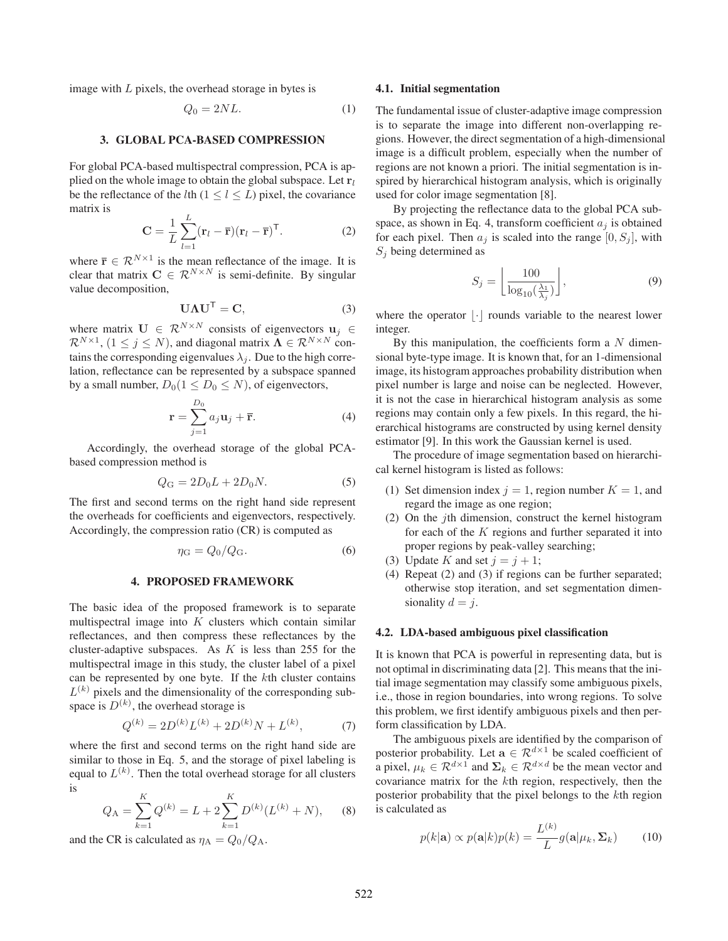image with  $L$  pixels, the overhead storage in bytes is

$$
Q_0 = 2NL.\t(1)
$$

#### 3. GLOBAL PCA-BASED COMPRESSION

For global PCA-based multispectral compression, PCA is applied on the whole image to obtain the global subspace. Let  $r_l$ be the reflectance of the *l*th ( $1 \le l \le L$ ) pixel, the covariance matrix is

$$
\mathbf{C} = \frac{1}{L} \sum_{l=1}^{L} (\mathbf{r}_l - \overline{\mathbf{r}}) (\mathbf{r}_l - \overline{\mathbf{r}})^{\mathsf{T}}.
$$
 (2)

where  $\bar{\mathbf{r}} \in \mathcal{R}^{N \times 1}$  is the mean reflectance of the image. It is clear that matrix  $C \in \mathcal{R}^{N \times N}$  is semi-definite. By singular value decomposition,

$$
U\Lambda U^{T} = C,
$$
 (3)

where matrix  $\mathbf{U} \in \mathbb{R}^{N \times N}$  consists of eigenvectors  $\mathbf{u}_j \in \mathbb{R}^{N \times N}$  $\mathcal{R}^{N\times 1}$ ,  $(1 \leq j \leq N)$ , and diagonal matrix  $\mathbf{\Lambda} \in \mathcal{R}^{N\times N}$  contains the corresponding eigenvalues  $\lambda_i$ . Due to the high correlation, reflectance can be represented by a subspace spanned by a small number,  $D_0(1 \leq D_0 \leq N)$ , of eigenvectors,

$$
\mathbf{r} = \sum_{j=1}^{D_0} a_j \mathbf{u}_j + \overline{\mathbf{r}}.\tag{4}
$$

Accordingly, the overhead storage of the global PCAbased compression method is

$$
Q_{\rm G} = 2D_0 L + 2D_0 N. \tag{5}
$$

The first and second terms on the right hand side represent the overheads for coefficients and eigenvectors, respectively. Accordingly, the compression ratio (CR) is computed as

$$
\eta_{\rm G} = Q_0/Q_{\rm G}.\tag{6}
$$

## 4. PROPOSED FRAMEWORK

The basic idea of the proposed framework is to separate multispectral image into  $K$  clusters which contain similar reflectances, and then compress these reflectances by the cluster-adaptive subspaces. As  $K$  is less than 255 for the multispectral image in this study, the cluster label of a pixel can be represented by one byte. If the kth cluster contains  $L^{(k)}$  pixels and the dimensionality of the corresponding subspace is  $D^{(k)}$ , the overhead storage is

$$
Q^{(k)} = 2D^{(k)}L^{(k)} + 2D^{(k)}N + L^{(k)},\tag{7}
$$

where the first and second terms on the right hand side are similar to those in Eq. 5, and the storage of pixel labeling is equal to  $L^{(k)}$ . Then the total overhead storage for all clusters is

$$
Q_{\rm A} = \sum_{k=1}^{K} Q^{(k)} = L + 2 \sum_{k=1}^{K} D^{(k)} (L^{(k)} + N), \quad (8)
$$

and the CR is calculated as  $\eta_A = Q_0/Q_A$ .

#### 4.1. Initial segmentation

The fundamental issue of cluster-adaptive image compression is to separate the image into different non-overlapping regions. However, the direct segmentation of a high-dimensional image is a difficult problem, especially when the number of regions are not known a priori. The initial segmentation is inspired by hierarchical histogram analysis, which is originally used for color image segmentation [8].

By projecting the reflectance data to the global PCA subspace, as shown in Eq. 4, transform coefficient  $a_i$  is obtained for each pixel. Then  $a_i$  is scaled into the range  $[0, S_i]$ , with  $S_i$  being determined as

$$
S_j = \left\lfloor \frac{100}{\log_{10}(\frac{\lambda_1}{\lambda_j})} \right\rfloor,\tag{9}
$$

where the operator  $|\cdot|$  rounds variable to the nearest lower integer.

By this manipulation, the coefficients form a  $N$  dimensional byte-type image. It is known that, for an 1-dimensional image, its histogram approaches probability distribution when pixel number is large and noise can be neglected. However, it is not the case in hierarchical histogram analysis as some regions may contain only a few pixels. In this regard, the hierarchical histograms are constructed by using kernel density estimator [9]. In this work the Gaussian kernel is used.

The procedure of image segmentation based on hierarchical kernel histogram is listed as follows:

- (1) Set dimension index  $j = 1$ , region number  $K = 1$ , and regard the image as one region;
- (2) On the jth dimension, construct the kernel histogram for each of the  $K$  regions and further separated it into proper regions by peak-valley searching;
- (3) Update K and set  $j = j + 1$ ;
- (4) Repeat (2) and (3) if regions can be further separated; otherwise stop iteration, and set segmentation dimensionality  $d = j$ .

#### 4.2. LDA-based ambiguous pixel classification

It is known that PCA is powerful in representing data, but is not optimal in discriminating data [2]. This means that the initial image segmentation may classify some ambiguous pixels, i.e., those in region boundaries, into wrong regions. To solve this problem, we first identify ambiguous pixels and then perform classification by LDA.

The ambiguous pixels are identified by the comparison of posterior probability. Let  $\mathbf{a} \in \mathcal{R}^{d \times 1}$  be scaled coefficient of a pixel,  $\mu_k \in \mathcal{R}^{d \times 1}$  and  $\Sigma_k \in \mathcal{R}^{d \times d}$  be the mean vector and covariance matrix for the kth region, respectively, then the posterior probability that the pixel belongs to the kth region is calculated as

$$
p(k|\mathbf{a}) \propto p(\mathbf{a}|k)p(k) = \frac{L^{(k)}}{L}g(\mathbf{a}|\mu_k, \Sigma_k)
$$
 (10)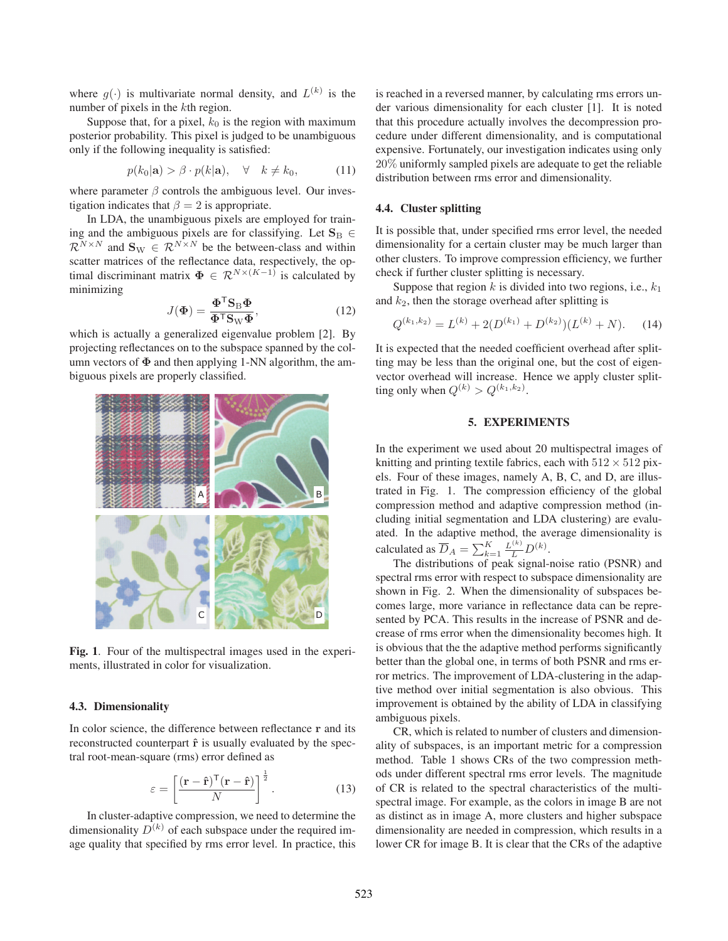where  $q(\cdot)$  is multivariate normal density, and  $L^{(k)}$  is the number of pixels in the kth region.

Suppose that, for a pixel,  $k_0$  is the region with maximum posterior probability. This pixel is judged to be unambiguous only if the following inequality is satisfied:

$$
p(k_0|\mathbf{a}) > \beta \cdot p(k|\mathbf{a}), \quad \forall \quad k \neq k_0,\tag{11}
$$

where parameter  $\beta$  controls the ambiguous level. Our investigation indicates that  $\beta = 2$  is appropriate.

In LDA, the unambiguous pixels are employed for training and the ambiguous pixels are for classifying. Let  $\mathbf{S}_{\text{B}} \in$  $\mathcal{R}^{N \times N}$  and  $\mathbf{S}_{\mathrm{W}} \in \mathcal{R}^{N \times N}$  be the between-class and within scatter matrices of the reflectance data, respectively, the optimal discriminant matrix  $\Phi \in \mathcal{R}^{N \times (K-1)}$  is calculated by minimizing

$$
J(\Phi) = \frac{\Phi^{\mathsf{T}} \mathbf{S}_{\mathcal{B}} \Phi}{\Phi^{\mathsf{T}} \mathbf{S}_{\mathcal{W}} \Phi},\tag{12}
$$

which is actually a generalized eigenvalue problem [2]. By projecting reflectances on to the subspace spanned by the column vectors of  $\Phi$  and then applying 1-NN algorithm, the ambiguous pixels are properly classified.



Fig. 1. Four of the multispectral images used in the experiments, illustrated in color for visualization.

### 4.3. Dimensionality

In color science, the difference between reflectance **r** and its reconstructed counterpart  $\hat{\bf r}$  is usually evaluated by the spectral root-mean-square (rms) error defined as

$$
\varepsilon = \left[ \frac{(\mathbf{r} - \hat{\mathbf{r}})^{\mathsf{T}} (\mathbf{r} - \hat{\mathbf{r}})}{N} \right]^{\frac{1}{2}}.
$$
 (13)

In cluster-adaptive compression, we need to determine the dimensionality  $D^{(k)}$  of each subspace under the required image quality that specified by rms error level. In practice, this

is reached in a reversed manner, by calculating rms errors under various dimensionality for each cluster [1]. It is noted that this procedure actually involves the decompression procedure under different dimensionality, and is computational expensive. Fortunately, our investigation indicates using only 20% uniformly sampled pixels are adequate to get the reliable distribution between rms error and dimensionality.

#### 4.4. Cluster splitting

It is possible that, under specified rms error level, the needed dimensionality for a certain cluster may be much larger than other clusters. To improve compression efficiency, we further check if further cluster splitting is necessary.

Suppose that region  $k$  is divided into two regions, i.e.,  $k_1$ and  $k_2$ , then the storage overhead after splitting is

$$
Q^{(k_1,k_2)} = L^{(k)} + 2(D^{(k_1)} + D^{(k_2)})(L^{(k)} + N). \tag{14}
$$

It is expected that the needed coefficient overhead after splitting may be less than the original one, but the cost of eigenvector overhead will increase. Hence we apply cluster splitting only when  $Q^{(k)} > Q^{(k_1, k_2)}$ .

#### 5. EXPERIMENTS

In the experiment we used about 20 multispectral images of knitting and printing textile fabrics, each with  $512 \times 512$  pixels. Four of these images, namely A, B, C, and D, are illustrated in Fig. 1. The compression efficiency of the global compression method and adaptive compression method (including initial segmentation and LDA clustering) are evaluated. In the adaptive method, the average dimensionality is calculated as  $\overline{D}_A = \sum_{k=1}^K \frac{L^{(k)}}{L} D^{(k)}$ .<br>The distributions of peak signal-

The distributions of peak signal-noise ratio (PSNR) and spectral rms error with respect to subspace dimensionality are shown in Fig. 2. When the dimensionality of subspaces becomes large, more variance in reflectance data can be represented by PCA. This results in the increase of PSNR and decrease of rms error when the dimensionality becomes high. It is obvious that the the adaptive method performs significantly better than the global one, in terms of both PSNR and rms error metrics. The improvement of LDA-clustering in the adaptive method over initial segmentation is also obvious. This improvement is obtained by the ability of LDA in classifying ambiguous pixels.

CR, which is related to number of clusters and dimensionality of subspaces, is an important metric for a compression method. Table 1 shows CRs of the two compression methods under different spectral rms error levels. The magnitude of CR is related to the spectral characteristics of the multispectral image. For example, as the colors in image B are not as distinct as in image A, more clusters and higher subspace dimensionality are needed in compression, which results in a lower CR for image B. It is clear that the CRs of the adaptive